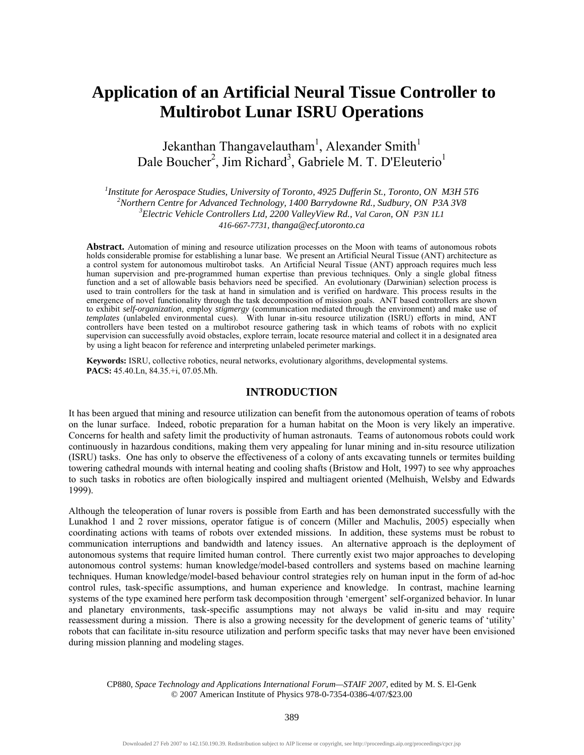# **Application of an Artificial Neural Tissue Controller to Multirobot Lunar ISRU Operations**

Jekanthan Thangavelautham<sup>1</sup>, Alexander Smith<sup>1</sup> Dale Boucher<sup>2</sup>, Jim Richard<sup>3</sup>, Gabriele M. T. D'Eleuterio<sup>1</sup>

*1 Institute for Aerospace Studies, University of Toronto, 4925 Dufferin St., Toronto, ON M3H 5T6*  <sup>2</sup><br>
<sup>2</sup> Northern Centre for Advanced Technology, 1400 Barrydowne Rd., Sudbury, ON P3A 3V8<br>
<sup>3</sup> Electric Vehicle Centrellars Ltd. 2200 ValleyView Rd., Val Caren. ON P2N U.L. *Electric Vehicle Controllers Ltd, 2200 ValleyView Rd., Val Caron, ON P3N 1L1 416-667-7731, thanga@ecf.utoronto.ca*

**Abstract.** Automation of mining and resource utilization processes on the Moon with teams of autonomous robots holds considerable promise for establishing a lunar base. We present an Artificial Neural Tissue (ANT) architecture as a control system for autonomous multirobot tasks. An Artificial Neural Tissue (ANT) approach requires much less human supervision and pre-programmed human expertise than previous techniques. Only a single global fitness function and a set of allowable basis behaviors need be specified. An evolutionary (Darwinian) selection process is used to train controllers for the task at hand in simulation and is verified on hardware. This process results in the emergence of novel functionality through the task decomposition of mission goals. ANT based controllers are shown to exhibit *self-organization*, employ *stigmergy* (communication mediated through the environment) and make use of *templates* (unlabeled environmental cues). With lunar in-situ resource utilization (ISRU) efforts in mind, ANT controllers have been tested on a multirobot resource gathering task in which teams of robots with no explicit supervision can successfully avoid obstacles, explore terrain, locate resource material and collect it in a designated area by using a light beacon for reference and interpreting unlabeled perimeter markings.

**Keywords:** ISRU, collective robotics, neural networks, evolutionary algorithms, developmental systems. **PACS:** 45.40.Ln, 84.35.+i, 07.05.Mh.

## **INTRODUCTION**

It has been argued that mining and resource utilization can benefit from the autonomous operation of teams of robots on the lunar surface. Indeed, robotic preparation for a human habitat on the Moon is very likely an imperative. Concerns for health and safety limit the productivity of human astronauts. Teams of autonomous robots could work continuously in hazardous conditions, making them very appealing for lunar mining and in-situ resource utilization (ISRU) tasks. One has only to observe the effectiveness of a colony of ants excavating tunnels or termites building towering cathedral mounds with internal heating and cooling shafts (Bristow and Holt, 1997) to see why approaches to such tasks in robotics are often biologically inspired and multiagent oriented (Melhuish, Welsby and Edwards 1999).

Although the teleoperation of lunar rovers is possible from Earth and has been demonstrated successfully with the Lunakhod 1 and 2 rover missions, operator fatigue is of concern (Miller and Machulis, 2005) especially when coordinating actions with teams of robots over extended missions. In addition, these systems must be robust to communication interruptions and bandwidth and latency issues. An alternative approach is the deployment of autonomous systems that require limited human control. There currently exist two major approaches to developing autonomous control systems: human knowledge/model-based controllers and systems based on machine learning techniques. Human knowledge/model-based behaviour control strategies rely on human input in the form of ad-hoc control rules, task-specific assumptions, and human experience and knowledge. In contrast, machine learning systems of the type examined here perform task decomposition through 'emergent' self-organized behavior. In lunar and planetary environments, task-specific assumptions may not always be valid in-situ and may require and planetary environments, task-specific assumptions may not always be valid in-situ and may require reassessment during a mission. There is also a growing necessity for the development of generic teams of 'utility' robots that can facilitate in-situ resource utilization and perform specific tasks that may never have been envisioned during mission planning and modeling stages.

CP880, *Space Technology and Applications International Forum—STAIF 2007*, edited by M. S. El-Genk © 2007 American Institute of Physics 978-0-7354-0386-4/07/\$23.00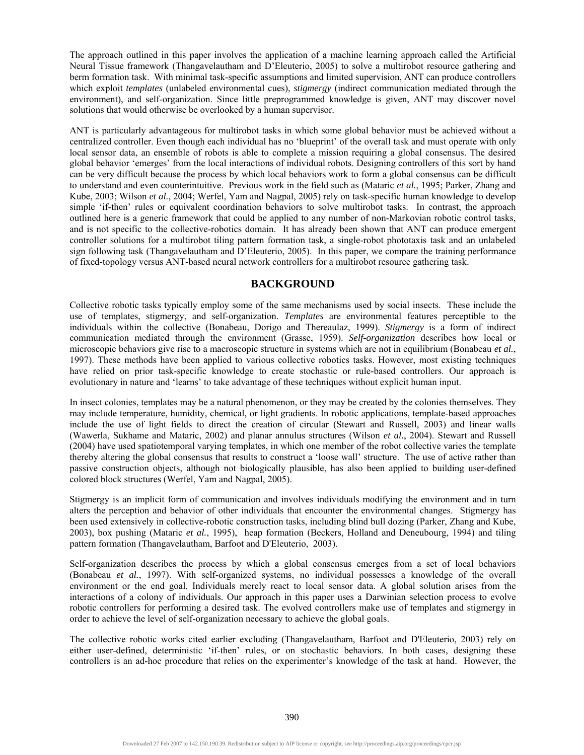The approach outlined in this paper involves the application of a machine learning approach called the Artificial Neural Tissue framework (Thangavelautham and D'Eleuterio, 2005) to solve a multirobot resource gathering and berm formation task. With minimal task-specific assumptions and limited supervision, ANT can produce controllers which exploit *templates* (unlabeled environmental cues), *stigmergy* (indirect communication mediated through the environment), and self-organization. Since little preprogrammed knowledge is given, ANT may discover novel solutions that would otherwise be overlooked by a human supervisor.

ANT is particularly advantageous for multirobot tasks in which some global behavior must be achieved without a centralized controller. Even though each individual has no 'blueprint' of the overall task and must operate with only local sensor data, an ensemble of robots is able to complete a mission requiring a global consensus. The desired global behavior 'emerges' from the local interactions of individual robots. Designing controllers of this sort by hand can be very difficult because the process by which local behaviors work to form a global consensus can be difficult to understand and even counterintuitive. Previous work in the field such as (Mataric *et al.*, 1995; Parker, Zhang and Kube, 2003; Wilson *et al.*, 2004; Werfel, Yam and Nagpal, 2005) rely on task-specific human knowledge to develop simple 'if-then' rules or equivalent coordination behaviors to solve multirobot tasks. In contrast, the approach outlined here is a generic framework that could be applied to any number of non-Markovian robotic control tasks, and is not specific to the collective-robotics domain. It has already been shown that ANT can produce emergent controller solutions for a multirobot tiling pattern formation task, a single-robot phototaxis task and an unlabeled sign following task (Thangavelautham and D'Eleuterio, 2005). In this paper, we compare the training performance of fixed-topology versus ANT-based neural network controllers for a multirobot resource gathering task.

# **BACKGROUND**

Collective robotic tasks typically employ some of the same mechanisms used by social insects. These include the use of templates, stigmergy, and self-organization. *Templates* are environmental features perceptible to the individuals within the collective (Bonabeau, Dorigo and Thereaulaz, 1999). *Stigmergy* is a form of indirect communication mediated through the environment (Grasse, 1959). *Self-organization* describes how local or microscopic behaviors give rise to a macroscopic structure in systems which are not in equilibrium (Bonabeau *et al.*, 1997). These methods have been applied to various collective robotics tasks. However, most existing techniques have relied on prior task-specific knowledge to create stochastic or rule-based controllers. Our approach is evolutionary in nature and 'learns' to take advantage of these techniques without explicit human input.

In insect colonies, templates may be a natural phenomenon, or they may be created by the colonies themselves. They may include temperature, humidity, chemical, or light gradients. In robotic applications, template-based approaches include the use of light fields to direct the creation of circular (Stewart and Russell, 2003) and linear walls (Wawerla, Sukhame and Mataric, 2002) and planar annulus structures (Wilson *et al.*, 2004). Stewart and Russell (2004) have used spatiotemporal varying templates, in which one member of the robot collective varies the template thereby altering the global consensus that results to construct a 'loose wall' structure. The use of active rather than passive construction objects, although not biologically plausible, has also been applied to building user-defined colored block structures (Werfel, Yam and Nagpal, 2005).

Stigmergy is an implicit form of communication and involves individuals modifying the environment and in turn alters the perception and behavior of other individuals that encounter the environmental changes. Stigmergy has been used extensively in collective-robotic construction tasks, including blind bull dozing (Parker, Zhang and Kube, 2003), box pushing (Mataric *et al.*, 1995), heap formation (Beckers, Holland and Deneubourg, 1994) and tiling pattern formation (Thangavelautham, Barfoot and D'Eleuterio, 2003).

Self-organization describes the process by which a global consensus emerges from a set of local behaviors (Bonabeau *et al.*, 1997). With self-organized systems, no individual possesses a knowledge of the overall environment or the end goal. Individuals merely react to local sensor data. A global solution arises from the interactions of a colony of individuals. Our approach in this paper uses a Darwinian selection process to evolve robotic controllers for performing a desired task. The evolved controllers make use of templates and stigmergy in order to achieve the level of self-organization necessary to achieve the global goals.

The collective robotic works cited earlier excluding (Thangavelautham, Barfoot and D'Eleuterio, 2003) rely on either user-defined, deterministic 'if-then' rules, or on stochastic behaviors. In both cases, designing these controllers is an ad-hoc procedure that relies on the experimenter's knowledge of the task at hand. However, the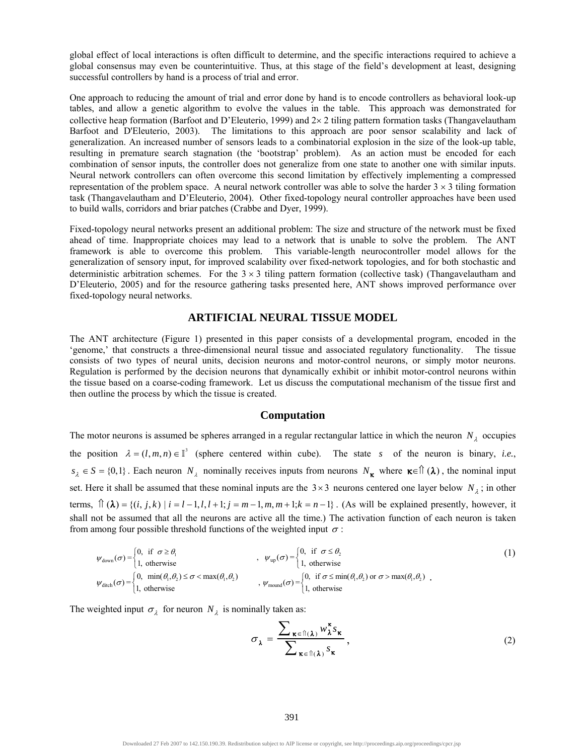global effect of local interactions is often difficult to determine, and the specific interactions required to achieve a global consensus may even be counterintuitive. Thus, at this stage of the field's development at least, designing successful controllers by hand is a process of trial and error.

One approach to reducing the amount of trial and error done by hand is to encode controllers as behavioral look-up tables, and allow a genetic algorithm to evolve the values in the table. This approach was demonstrated for collective heap formation (Barfoot and D'Eleuterio, 1999) and  $2 \times 2$  tiling pattern formation tasks (Thangavelautham Barfoot and D'Eleuterio, 2003). The limitations to this approach are poor sensor scalability and lack of generalization. An increased number of sensors leads to a combinatorial explosion in the size of the look-up table, resulting in premature search stagnation (the 'bootstrap' problem). As an action must be encoded for each combination of sensor inputs, the controller does not generalize from one state to another one with similar inputs. Neural network controllers can often overcome this second limitation by effectively implementing a compressed representation of the problem space. A neural network controller was able to solve the harder  $3 \times 3$  tiling formation task (Thangavelautham and D'Eleuterio, 2004). Other fixed-topology neural controller approaches have been used to build walls, corridors and briar patches (Crabbe and Dyer, 1999).

Fixed-topology neural networks present an additional problem: The size and structure of the network must be fixed ahead of time. Inappropriate choices may lead to a network that is unable to solve the problem. The ANT framework is able to overcome this problem. This variable-length neurocontroller model allows for the generalization of sensory input, for improved scalability over fixed-network topologies, and for both stochastic and deterministic arbitration schemes. For the  $3 \times 3$  tiling pattern formation (collective task) (Thangavelautham and D'Eleuterio, 2005) and for the resource gathering tasks presented here, ANT shows improved performance over fixed-topology neural networks.

## **ARTIFICIAL NEURAL TISSUE MODEL**

The ANT architecture (Figure 1) presented in this paper consists of a developmental program, encoded in the 'genome,' that constructs a three-dimensional neural tissue and associated regulatory functionality. The tissue consists of two types of neural units, decision neurons and motor-control neurons, or simply motor neurons. Regulation is performed by the decision neurons that dynamically exhibit or inhibit motor-control neurons within the tissue based on a coarse-coding framework. Let us discuss the computational mechanism of the tissue first and then outline the process by which the tissue is created.

## **Computation**

The motor neurons is assumed be spheres arranged in a regular rectangular lattice in which the neuron  $N_\lambda$  occupies the position  $\lambda = (l, m, n) \in \mathbb{I}^3$  (sphere centered within cube). The state *s* of the neuron is binary, *i.e.*,  $s_{\lambda} \in S = \{0,1\}$ . Each neuron  $N_{\lambda}$  nominally receives inputs from neurons  $N_{\kappa}$  where  $\kappa \in \hat{\mathbb{I}}(\lambda)$ , the nominal input set. Here it shall be assumed that these nominal inputs are the  $3 \times 3$  neurons centered one layer below  $N_{\lambda}$ ; in other terms,  $\hat{\mathbb{I}}(\lambda) = \{(i, j, k) | i = l-1, l, l+1; j = m-1, m, m+1; k = n-1\}$ . (As will be explained presently, however, it shall not be assumed that all the neurons are active all the time.) The activation function of each neuron is taken from among four possible threshold functions of the weighted input  $\sigma$  :

$$
\psi_{\text{down}}(\sigma) = \begin{cases} 0, & \text{if } \sigma \ge \theta_1 \\ 1, & \text{otherwise} \end{cases}
$$
\n
$$
\psi_{\text{up}}(\sigma) = \begin{cases} 0, & \text{if } \sigma \le \theta_2 \\ 1, & \text{otherwise} \end{cases}
$$
\n
$$
\psi_{\text{up}}(\sigma) = \begin{cases} 0, & \text{min}(\theta_1, \theta_2) \le \sigma < \max(\theta_1, \theta_2) \\ 1, & \text{otherwise} \end{cases}
$$
\n
$$
\psi_{\text{down}}(\sigma) = \begin{cases} 0, & \text{if } \sigma \le \min(\theta_1, \theta_2) \text{ or } \sigma > \max(\theta_1, \theta_2) \\ 1, & \text{otherwise} \end{cases}
$$
\n
$$
(1)
$$

The weighted input  $\sigma_{\lambda}$  for neuron  $N_{\lambda}$  is nominally taken as:

$$
\sigma_{\lambda} = \frac{\sum_{\kappa \in \hat{\mathbb{I}}(\lambda)} w_{\lambda}^{\kappa} s_{\kappa}}{\sum_{\kappa \in \hat{\mathbb{I}}(\lambda)} s_{\kappa}},
$$
 (2)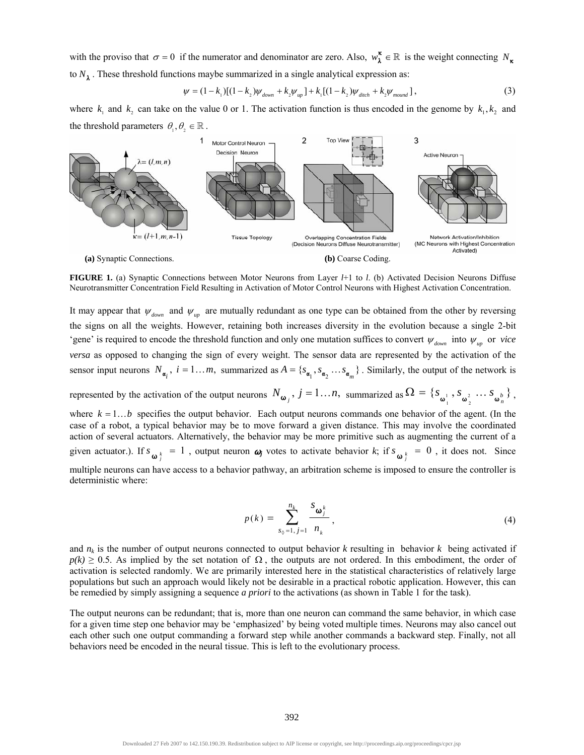with the proviso that  $\sigma = 0$  if the numerator and denominator are zero. Also,  $w_{\lambda}^{\kappa} \in \mathbb{R}$  is the weight connecting  $N_{\kappa}$ to  $N<sub>2</sub>$ . These threshold functions maybe summarized in a single analytical expression as:

$$
\psi = (1 - k_1)[(1 - k_2)\psi_{down} + k_2\psi_{up}] + k_1[(1 - k_2)\psi_{diich} + k_2\psi_{mound}],
$$
\n(3)

where  $k_1$  and  $k_2$  can take on the value 0 or 1. The activation function is thus encoded in the genome by  $k_1, k_2$  and the threshold parameters  $\theta_i$ ,  $\theta_i \in \mathbb{R}$ .



**FIGURE 1.** (a) Synaptic Connections between Motor Neurons from Layer *l*+1 to *l*. (b) Activated Decision Neurons Diffuse Neurotransmitter Concentration Field Resulting in Activation of Motor Control Neurons with Highest Activation Concentration.

It may appear that  $\psi_{down}$  and  $\psi_{up}$  are mutually redundant as one type can be obtained from the other by reversing the signs on all the weights. However, retaining both increases diversity in the evolution because a single 2-bit 'gene' is required to encode the threshold function and only one mutation suffices to convert  $\psi_{down}$  into  $\psi_{up}$  or *vice versa* as opposed to changing the sign of every weight. The sensor data are represented by the activation of the sensor input neurons  $N_{\mathbf{a}_i}$ ,  $i = 1...m$ , summarized as  $A = \{s_{\mathbf{a}_1}, s_{\mathbf{a}_2}...s_{\mathbf{a}_m}\}\$ . Similarly, the output of the network is

represented by the activation of the output neurons  $N_{\omega_j}$ ,  $j = 1...n$ , summarized as  $\Omega = \{s_{\omega_1^j}, s_{\omega_2^2}, \dots s_{\omega_n^b}\}$ ,

where  $k = 1...b$  specifies the output behavior. Each output neurons commands one behavior of the agent. (In the case of a robot, a typical behavior may be to move forward a given distance. This may involve the coordinated action of several actuators. Alternatively, the behavior may be more primitive such as augmenting the current of a given actuator.). If  $s_{\omega_j^k} = 1$ , output neuron  $\omega_j$  votes to activate behavior *k*; if  $s_{\omega_j^k} = 0$ , it does not. Since multiple neurons can have access to a behavior pathway, an arbitration scheme is imposed to ensure the controller is deterministic where:

$$
p(k) = \sum_{s_0=1, j=1}^{n_k} \frac{s_{\mathbf{\omega}_j^k}}{n_k},
$$
\n(4)

and  $n_k$  is the number of output neurons connected to output behavior  $k$  resulting in behavior  $k$  being activated if  $p(k) \geq 0.5$ . As implied by the set notation of  $\Omega$ , the outputs are not ordered. In this embodiment, the order of activation is selected randomly. We are primarily interested here in the statistical characteristics of relatively large populations but such an approach would likely not be desirable in a practical robotic application. However, this can be remedied by simply assigning a sequence *a priori* to the activations (as shown in Table 1 for the task).

The output neurons can be redundant; that is, more than one neuron can command the same behavior, in which case for a given time step one behavior may be 'emphasized' by being voted multiple times. Neurons may also cancel out each other such one output commanding a forward step while another commands a backward step. Finally, not all behaviors need be encoded in the neural tissue. This is left to the evolutionary process.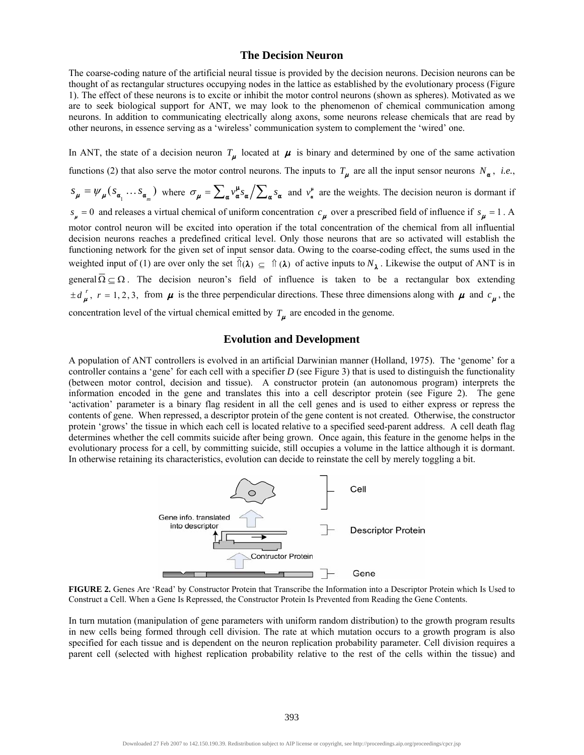### **The Decision Neuron**

The coarse-coding nature of the artificial neural tissue is provided by the decision neurons. Decision neurons can be thought of as rectangular structures occupying nodes in the lattice as established by the evolutionary process (Figure 1). The effect of these neurons is to excite or inhibit the motor control neurons (shown as spheres). Motivated as we are to seek biological support for ANT, we may look to the phenomenon of chemical communication among neurons. In addition to communicating electrically along axons, some neurons release chemicals that are read by other neurons, in essence serving as a 'wireless' communication system to complement the 'wired' one.

In ANT, the state of a decision neuron  $T_{\mu}$  located at  $\mu$  is binary and determined by one of the same activation functions (2) that also serve the motor control neurons. The inputs to  $T_{\mu}$  are all the input sensor neurons  $N_{\alpha}$ , *i.e.*,

$$
s_{\mu} = \psi_{\mu}(s_{\alpha_1} \dots s_{\alpha_m})
$$
 where  $\sigma_{\mu} = \sum_{\alpha} v_{\alpha}^{\mu} s_{\alpha} / \sum_{\alpha} s_{\alpha}$  and  $v_{\alpha}^{\mu}$  are the weights. The decision neuron is dominant if

 $s_{\mu} = 0$  and releases a virtual chemical of uniform concentration  $c_{\mu}$  over a prescribed field of influence if  $s_{\mu} = 1$ . A

motor control neuron will be excited into operation if the total concentration of the chemical from all influential decision neurons reaches a predefined critical level. Only those neurons that are so activated will establish the functioning network for the given set of input sensor data. Owing to the coarse-coding effect, the sums used in the weighted input of (1) are over only the set  $\overline{\hat{h}}(\lambda) \subseteq \hat{h}(\lambda)$  of active inputs to  $N_{\lambda}$ . Likewise the output of ANT is in general  $\overline{\Omega} \subseteq \Omega$ . The decision neuron's field of influence is taken to be a rectangular box extending  $\pm d_{\mu}^r$ ,  $r = 1, 2, 3$ , from  $\mu$  is the three perpendicular directions. These three dimensions along with  $\mu$  and  $c_{\mu}$ , the concentration level of the virtual chemical emitted by  $T_{\mu}$  are encoded in the genome.

### **Evolution and Development**

A population of ANT controllers is evolved in an artificial Darwinian manner (Holland, 1975). The 'genome' for a controller contains a 'gene' for each cell with a specifier *D* (see Figure 3) that is used to distinguish the functionality (between motor control, decision and tissue). A constructor protein (an autonomous program) interprets the information encoded in the gene and translates this into a cell descriptor protein (see Figure 2). The gene 'activation' parameter is a binary flag resident in all the cell genes and is used to either express or repress the contents of gene. When repressed, a descriptor protein of the gene content is not created. Otherwise, the constructor protein 'grows' the tissue in which each cell is located relative to a specified seed-parent address. A cell death flag determines whether the cell commits suicide after being grown. Once again, this feature in the genome helps in the evolutionary process for a cell, by committing suicide, still occupies a volume in the lattice although it is dormant. In otherwise retaining its characteristics, evolution can decide to reinstate the cell by merely toggling a bit.



**FIGURE 2.** Genes Are 'Read' by Constructor Protein that Transcribe the Information into a Descriptor Protein which Is Used to Construct a Cell. When a Gene Is Repressed, the Constructor Protein Is Prevented from Reading the Gene Contents.

In turn mutation (manipulation of gene parameters with uniform random distribution) to the growth program results in new cells being formed through cell division. The rate at which mutation occurs to a growth program is also specified for each tissue and is dependent on the neuron replication probability parameter. Cell division requires a parent cell (selected with highest replication probability relative to the rest of the cells within the tissue) and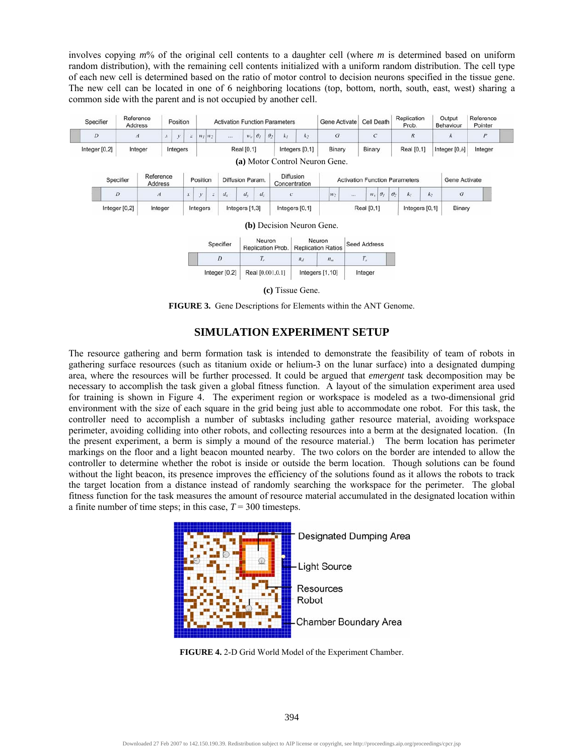involves copying *m*% of the original cell contents to a daughter cell (where *m* is determined based on uniform random distribution), with the remaining cell contents initialized with a uniform random distribution. The cell type of each new cell is determined based on the ratio of motor control to decision neurons specified in the tissue gene. The new cell can be located in one of 6 neighboring locations (top, bottom, north, south, east, west) sharing a common side with the parent and is not occupied by another cell.



**FIGURE 3.** Gene Descriptions for Elements within the ANT Genome.

# **SIMULATION EXPERIMENT SETUP**

The resource gathering and berm formation task is intended to demonstrate the feasibility of team of robots in gathering surface resources (such as titanium oxide or helium-3 on the lunar surface) into a designated dumping area, where the resources will be further processed. It could be argued that *emergent* task decomposition may be necessary to accomplish the task given a global fitness function. A layout of the simulation experiment area used for training is shown in Figure 4. The experiment region or workspace is modeled as a two-dimensional grid environment with the size of each square in the grid being just able to accommodate one robot. For this task, the controller need to accomplish a number of subtasks including gather resource material, avoiding workspace perimeter, avoiding colliding into other robots, and collecting resources into a berm at the designated location. (In the present experiment, a berm is simply a mound of the resource material.) The berm location has perimeter markings on the floor and a light beacon mounted nearby. The two colors on the border are intended to allow the controller to determine whether the robot is inside or outside the berm location. Though solutions can be found without the light beacon, its presence improves the efficiency of the solutions found as it allows the robots to track the target location from a distance instead of randomly searching the workspace for the perimeter. The global fitness function for the task measures the amount of resource material accumulated in the designated location within a finite number of time steps; in this case,  $T = 300$  timesteps.



**FIGURE 4.** 2-D Grid World Model of the Experiment Chamber.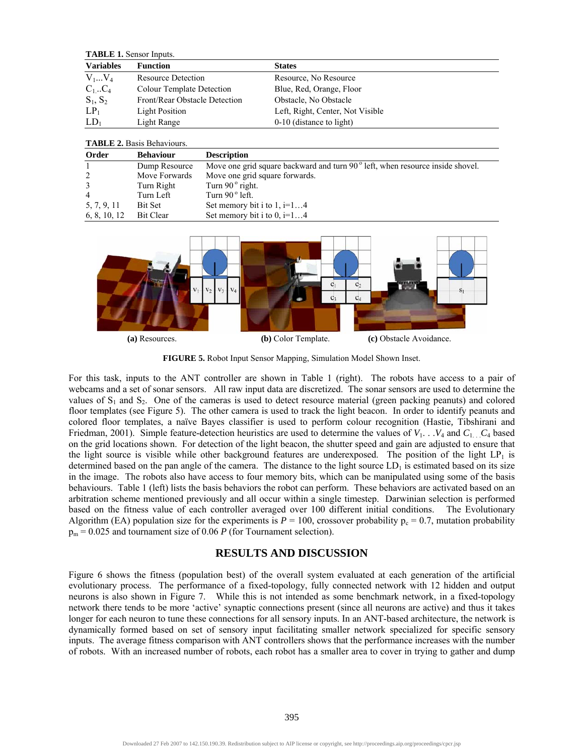| <b>TABLE 1.</b> Sensor Inputs. |                               |                                  |  |
|--------------------------------|-------------------------------|----------------------------------|--|
| <b>Variables</b>               | <b>Function</b>               | <b>States</b>                    |  |
| $V_1V_4$                       | <b>Resource Detection</b>     | Resource, No Resource            |  |
| $C_1C_4$                       | Colour Template Detection     | Blue, Red, Orange, Floor         |  |
| $S_1, S_2$                     | Front/Rear Obstacle Detection | Obstacle, No Obstacle            |  |
| $LP_1$                         | <b>Light Position</b>         | Left, Right, Center, Not Visible |  |
| $LD_1$                         | Light Range                   | $0-10$ (distance to light)       |  |

#### **TABLE 2.** Basis Behaviours.

| Order          | <b>Behaviour</b> | <b>Description</b>                                                                        |
|----------------|------------------|-------------------------------------------------------------------------------------------|
|                | Dump Resource    | Move one grid square backward and turn 90 <sup>°</sup> left, when resource inside shovel. |
| 2              | Move Forwards    | Move one grid square forwards.                                                            |
| 3              | Turn Right       | Turn $90^\circ$ right.                                                                    |
| $\overline{4}$ | Turn Left        | Turn $90^{\circ}$ left.                                                                   |
| 5, 7, 9, 11    | Bit Set          | Set memory bit i to $1$ , i= $14$                                                         |
| 6, 8, 10, 12   | Bit Clear        | Set memory bit i to 0, $i=14$                                                             |



**FIGURE 5.** Robot Input Sensor Mapping, Simulation Model Shown Inset.

For this task, inputs to the ANT controller are shown in Table 1 (right). The robots have access to a pair of webcams and a set of sonar sensors. All raw input data are discretized. The sonar sensors are used to determine the values of  $S_1$  and  $S_2$ . One of the cameras is used to detect resource material (green packing peanuts) and colored floor templates (see Figure 5). The other camera is used to track the light beacon. In order to identify peanuts and colored floor templates, a naïve Bayes classifier is used to perform colour recognition (Hastie*,* Tibshirani and Friedman, 2001). Simple feature-detection heuristics are used to determine the values of  $V_1$ . . .  $V_4$  and  $C_1$ .  $C_4$  based on the grid locations shown. For detection of the light beacon, the shutter speed and gain are adjusted to ensure that the light source is visible while other background features are underexposed. The position of the light  $LP_1$  is determined based on the pan angle of the camera. The distance to the light source  $LD_1$  is estimated based on its size in the image. The robots also have access to four memory bits, which can be manipulated using some of the basis behaviours. Table 1 (left) lists the basis behaviors the robot can perform. These behaviors are activated based on an arbitration scheme mentioned previously and all occur within a single timestep. Darwinian selection is performed based on the fitness value of each controller averaged over 100 different initial conditions. The Evolutionary Algorithm (EA) population size for the experiments is  $P = 100$ , crossover probability  $p_c = 0.7$ , mutation probability  $p_m = 0.025$  and tournament size of 0.06 *P* (for Tournament selection).

# **RESULTS AND DISCUSSION**

Figure 6 shows the fitness (population best) of the overall system evaluated at each generation of the artificial evolutionary process. The performance of a fixed-topology, fully connected network with 12 hidden and output neurons is also shown in Figure 7. While this is not intended as some benchmark network, in a fixed-topology network there tends to be more 'active' synaptic connections present (since all neurons are active) and thus it takes longer for each neuron to tune these connections for all sensory inputs. In an ANT-based architecture, the network is dynamically formed based on set of sensory input facilitating smaller network specialized for specific sensory inputs. The average fitness comparison with ANT controllers shows that the performance increases with the number of robots. With an increased number of robots, each robot has a smaller area to cover in trying to gather and dump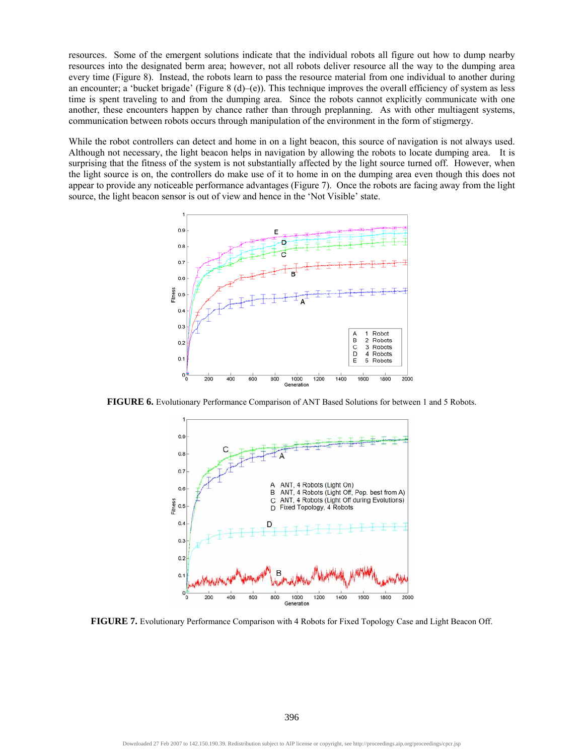resources. Some of the emergent solutions indicate that the individual robots all figure out how to dump nearby resources into the designated berm area; however, not all robots deliver resource all the way to the dumping area every time (Figure 8). Instead, the robots learn to pass the resource material from one individual to another during an encounter; a 'bucket brigade' (Figure 8 (d)–(e)). This technique improves the overall efficiency of system as less time is spent traveling to and from the dumping area. Since the robots cannot explicitly communicate with one another, these encounters happen by chance rather than through preplanning. As with other multiagent systems, communication between robots occurs through manipulation of the environment in the form of stigmergy.

While the robot controllers can detect and home in on a light beacon, this source of navigation is not always used. Although not necessary, the light beacon helps in navigation by allowing the robots to locate dumping area. It is surprising that the fitness of the system is not substantially affected by the light source turned off. However, when the light source is on, the controllers do make use of it to home in on the dumping area even though this does not appear to provide any noticeable performance advantages (Figure 7). Once the robots are facing away from the light source, the light beacon sensor is out of view and hence in the 'Not Visible' state.



**FIGURE 6.** Evolutionary Performance Comparison of ANT Based Solutions for between 1 and 5 Robots.



**FIGURE 7.** Evolutionary Performance Comparison with 4 Robots for Fixed Topology Case and Light Beacon Off.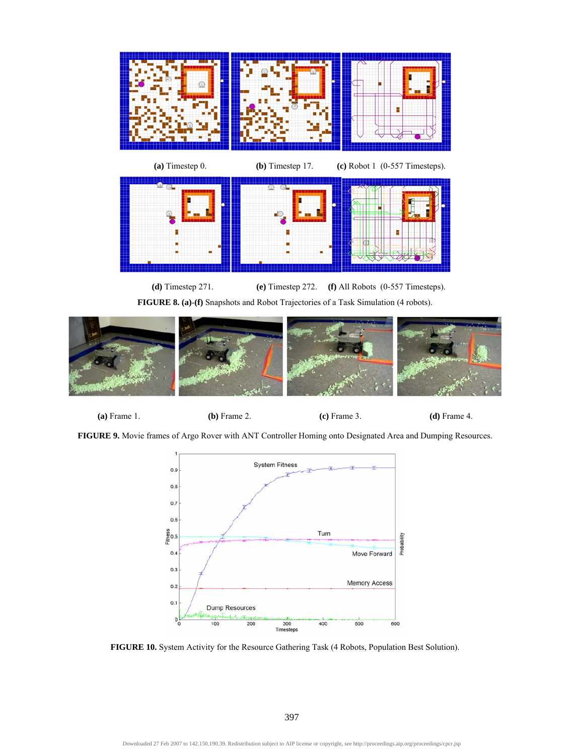

 **(d)** Timestep 271. **(e)** Timestep 272. **(f)** All Robots (0-557 Timesteps). **FIGURE 8. (a)**-**(f)** Snapshots and Robot Trajectories of a Task Simulation (4 robots).



**(a)** Frame 1. **(b)** Frame 2. **(c)** Frame 3. **(d)** Frame 4.

**FIGURE 9.** Movie frames of Argo Rover with ANT Controller Homing onto Designated Area and Dumping Resources.



**FIGURE 10.** System Activity for the Resource Gathering Task (4 Robots, Population Best Solution).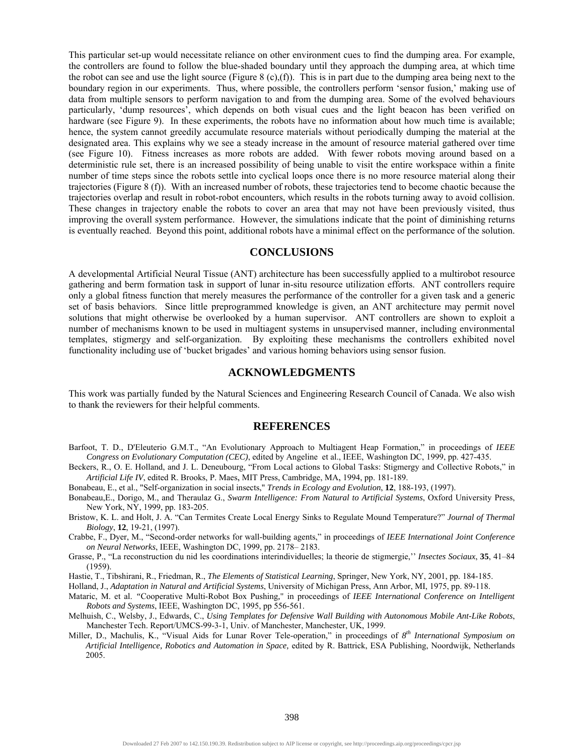This particular set-up would necessitate reliance on other environment cues to find the dumping area. For example, the controllers are found to follow the blue-shaded boundary until they approach the dumping area, at which time the robot can see and use the light source (Figure 8  $(c)$ , (f)). This is in part due to the dumping area being next to the boundary region in our experiments. Thus, where possible, the controllers perform 'sensor fusion,' making use of data from multiple sensors to perform navigation to and from the dumping area. Some of the evolved behaviours particularly, 'dump resources', which depends on both visual cues and the light beacon has been verified on hardware (see Figure 9). In these experiments, the robots have no information about how much time is available; hence, the system cannot greedily accumulate resource materials without periodically dumping the material at the designated area. This explains why we see a steady increase in the amount of resource material gathered over time (see Figure 10). Fitness increases as more robots are added. With fewer robots moving around based on a deterministic rule set, there is an increased possibility of being unable to visit the entire workspace within a finite number of time steps since the robots settle into cyclical loops once there is no more resource material along their trajectories (Figure 8 (f)). With an increased number of robots, these trajectories tend to become chaotic because the trajectories overlap and result in robot-robot encounters, which results in the robots turning away to avoid collision. These changes in trajectory enable the robots to cover an area that may not have been previously visited, thus improving the overall system performance. However, the simulations indicate that the point of diminishing returns is eventually reached. Beyond this point, additional robots have a minimal effect on the performance of the solution.

## **CONCLUSIONS**

A developmental Artificial Neural Tissue (ANT) architecture has been successfully applied to a multirobot resource gathering and berm formation task in support of lunar in-situ resource utilization efforts. ANT controllers require only a global fitness function that merely measures the performance of the controller for a given task and a generic set of basis behaviors. Since little preprogrammed knowledge is given, an ANT architecture may permit novel solutions that might otherwise be overlooked by a human supervisor. ANT controllers are shown to exploit a number of mechanisms known to be used in multiagent systems in unsupervised manner, including environmental templates, stigmergy and self-organization. By exploiting these mechanisms the controllers exhibited novel functionality including use of 'bucket brigades' and various homing behaviors using sensor fusion.

## **ACKNOWLEDGMENTS**

This work was partially funded by the Natural Sciences and Engineering Research Council of Canada. We also wish to thank the reviewers for their helpful comments.

### **REFERENCES**

- Barfoot, T. D., D'Eleuterio G.M.T., "An Evolutionary Approach to Multiagent Heap Formation," in proceedings of *IEEE Congress on Evolutionary Computation (CEC)*, edited by Angeline et al., IEEE, Washington DC, 1999, pp. 427-435.
- Beckers, R., O. E. Holland, and J. L. Deneubourg, "From Local actions to Global Tasks: Stigmergy and Collective Robots," in *Artificial Life IV*, edited R. Brooks, P. Maes, MIT Press, Cambridge, MA, 1994, pp. 181-189.
- Bonabeau, E., et al., "Self-organization in social insects," *Trends in Ecology and Evolution*, **12**, 188-193, (1997).
- Bonabeau,E., Dorigo, M., and Theraulaz G., *Swarm Intelligence: From Natural to Artificial Systems*, Oxford University Press, New York, NY, 1999, pp. 183-205.
- Bristow, K. L. and Holt, J. A. "Can Termites Create Local Energy Sinks to Regulate Mound Temperature?" *Journal of Thermal Biology*, **12**, 19-21, (1997).
- Crabbe, F., Dyer, M., "Second-order networks for wall-building agents," in proceedings of *IEEE International Joint Conference on Neural Networks*, IEEE, Washington DC, 1999, pp. 2178– 2183.
- Grasse, P., "La reconstruction du nid les coordinations interindividuelles; la theorie de stigmergie,'' *Insectes Sociaux*, **35**, 41–84 (1959).
- Hastie, T., Tibshirani, R., Friedman, R., *The Elements of Statistical Learning*, Springer, New York, NY, 2001, pp. 184-185.
- Holland, J., *Adaptation in Natural and Artificial Systems*, University of Michigan Press, Ann Arbor, MI, 1975, pp. 89-118.
- Mataric, M. et al. *"*Cooperative Multi-Robot Box Pushing," in proceedings of *IEEE International Conference on Intelligent Robots and Systems*, IEEE, Washington DC, 1995, pp 556-561.
- Melhuish, C., Welsby, J., Edwards, C., *Using Templates for Defensive Wall Building with Autonomous Mobile Ant-Like Robots*, Manchester Tech. Report/UMCS-99-3-1, Univ. of Manchester, Manchester, UK, 1999.
- Miller, D., Machulis, K., "Visual Aids for Lunar Rover Tele-operation," in proceedings of *8th International Symposium on Artificial Intelligence, Robotics and Automation in Space,* edited by R. Battrick, ESA Publishing, Noordwijk, Netherlands 2005.